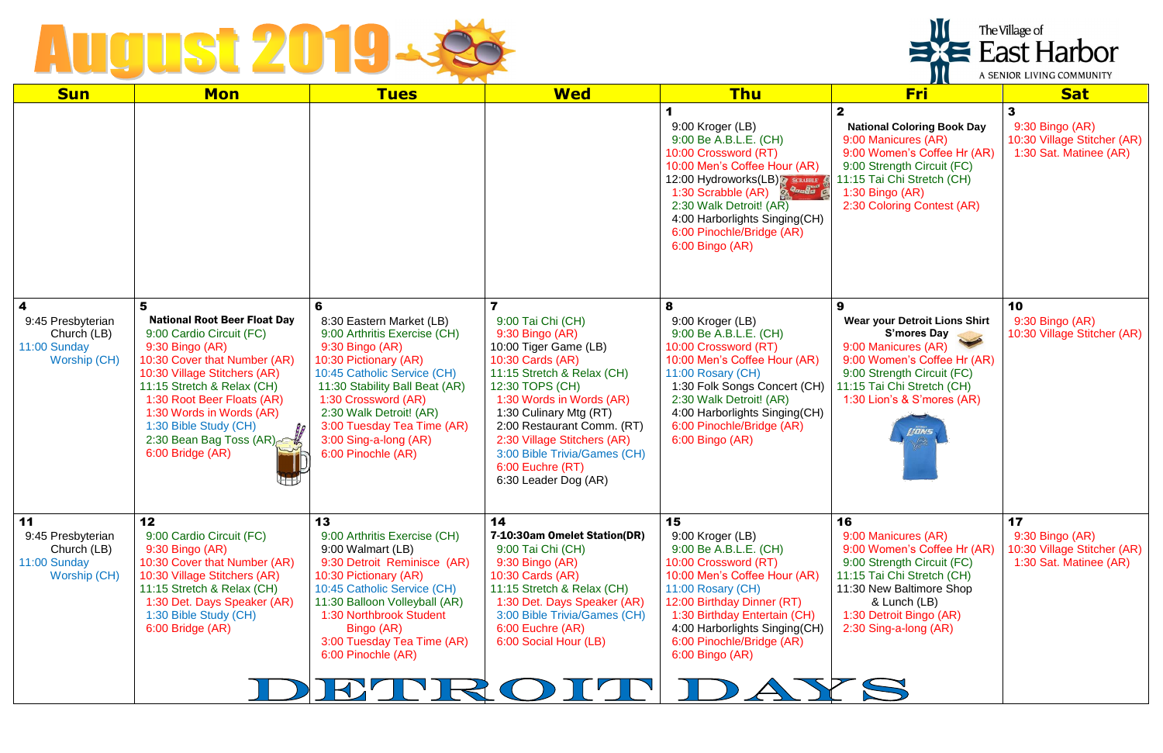## August 2019-28

| <b>Sun</b>                                                             | <b>Mon</b>                                                                                                                                                                                                                                                                                                              | <b>Tues</b>                                                                                                                                                                                                                                                                                               | <b>Wed</b>                                                                                                                                                                                                                                                                                                                        | <b>Thu</b>                                                                                                                                                                                                                                                                         | $\overline{\phantom{a}}$<br><b>Fri</b>                                                                                                                                                                               | <b>Sat</b>                                                                               |
|------------------------------------------------------------------------|-------------------------------------------------------------------------------------------------------------------------------------------------------------------------------------------------------------------------------------------------------------------------------------------------------------------------|-----------------------------------------------------------------------------------------------------------------------------------------------------------------------------------------------------------------------------------------------------------------------------------------------------------|-----------------------------------------------------------------------------------------------------------------------------------------------------------------------------------------------------------------------------------------------------------------------------------------------------------------------------------|------------------------------------------------------------------------------------------------------------------------------------------------------------------------------------------------------------------------------------------------------------------------------------|----------------------------------------------------------------------------------------------------------------------------------------------------------------------------------------------------------------------|------------------------------------------------------------------------------------------|
|                                                                        |                                                                                                                                                                                                                                                                                                                         |                                                                                                                                                                                                                                                                                                           |                                                                                                                                                                                                                                                                                                                                   | 9:00 Kroger (LB)<br>9:00 Be A.B.L.E. (CH)<br>10:00 Crossword (RT)<br>10:00 Men's Coffee Hour (AR)<br>12:00 Hydroworks(LB)<br>Joseph C<br>1:30 Scrabble (AR)<br>2:30 Walk Detroit! (AR)<br>4:00 Harborlights Singing(CH)<br>6:00 Pinochle/Bridge (AR)<br>6:00 Bingo (AR)            | $\mathbf{2}$<br><b>National Coloring Book Day</b><br>9:00 Manicures (AR)<br>9:00 Women's Coffee Hr (AR)<br>9:00 Strength Circuit (FC)<br>11:15 Tai Chi Stretch (CH)<br>1:30 Bingo (AR)<br>2:30 Coloring Contest (AR) | $\mathbf{3}$<br>9:30 Bingo (AR)<br>10:30 Village Stitcher (AR)<br>1:30 Sat. Matinee (AR) |
| 4<br>9:45 Presbyterian<br>Church (LB)<br>11:00 Sunday<br>Worship (CH)  | 5<br><b>National Root Beer Float Day</b><br>9:00 Cardio Circuit (FC)<br>9:30 Bingo (AR)<br>10:30 Cover that Number (AR)<br>10:30 Village Stitchers (AR)<br>11:15 Stretch & Relax (CH)<br>1:30 Root Beer Floats (AR)<br>1:30 Words in Words (AR)<br>1:30 Bible Study (CH)<br>2:30 Bean Bag Toss (AR)<br>6:00 Bridge (AR) | 6<br>8:30 Eastern Market (LB)<br>9:00 Arthritis Exercise (CH)<br>9:30 Bingo (AR)<br>10:30 Pictionary (AR)<br>10:45 Catholic Service (CH)<br>11:30 Stability Ball Beat (AR)<br>1:30 Crossword (AR)<br>2:30 Walk Detroit! (AR)<br>3:00 Tuesday Tea Time (AR)<br>3:00 Sing-a-long (AR)<br>6:00 Pinochle (AR) | 9:00 Tai Chi (CH)<br>9:30 Bingo (AR)<br>10:00 Tiger Game (LB)<br>10:30 Cards (AR)<br>11:15 Stretch & Relax (CH)<br>12:30 TOPS (CH)<br>1:30 Words in Words (AR)<br>1:30 Culinary Mtg (RT)<br>2:00 Restaurant Comm. (RT)<br>2:30 Village Stitchers (AR)<br>3:00 Bible Trivia/Games (CH)<br>6:00 Euchre (RT)<br>6:30 Leader Dog (AR) | 8<br>9:00 Kroger (LB)<br>9:00 Be A.B.L.E. (CH)<br>10:00 Crossword (RT)<br>10:00 Men's Coffee Hour (AR)<br>11:00 Rosary (CH)<br>1:30 Folk Songs Concert (CH)<br>2:30 Walk Detroit! (AR)<br>4:00 Harborlights Singing(CH)<br>6:00 Pinochle/Bridge (AR)<br>6:00 Bingo (AR)            | 9<br><b>Wear your Detroit Lions Shirt</b><br>S'mores Day<br>9:00 Manicures (AR)<br>9:00 Women's Coffee Hr (AR)<br>9:00 Strength Circuit (FC)<br>11:15 Tai Chi Stretch (CH)<br>1:30 Lion's & S'mores (AR)<br>LIONS    | 10<br>9:30 Bingo (AR)<br>10:30 Village Stitcher (AR)                                     |
| 11<br>9:45 Presbyterian<br>Church (LB)<br>11:00 Sunday<br>Worship (CH) | 12<br>9:00 Cardio Circuit (FC)<br>9:30 Bingo (AR)<br>10:30 Cover that Number (AR)<br>10:30 Village Stitchers (AR)<br>11:15 Stretch & Relax (CH)<br>1:30 Det. Days Speaker (AR)<br>1:30 Bible Study (CH)<br>6:00 Bridge (AR)                                                                                             | 13<br>9:00 Arthritis Exercise (CH)<br>9:00 Walmart (LB)<br>9:30 Detroit Reminisce (AR)<br>10:30 Pictionary (AR)<br>10:45 Catholic Service (CH)<br>11:30 Balloon Volleyball (AR)<br>1:30 Northbrook Student<br>Bingo (AR)<br>3:00 Tuesday Tea Time (AR)<br>6:00 Pinochle (AR)                              | 14<br>7-10:30am Omelet Station(DR)<br>9:00 Tai Chi (CH)<br>9:30 Bingo (AR)<br>10:30 Cards (AR)<br>11:15 Stretch & Relax (CH)<br>1:30 Det. Days Speaker (AR)<br>3:00 Bible Trivia/Games (CH)<br>6:00 Euchre (AR)<br>6:00 Social Hour (LB)                                                                                          | 15<br>9:00 Kroger (LB)<br>9:00 Be A.B.L.E. (CH)<br>10:00 Crossword (RT)<br>10:00 Men's Coffee Hour (AR)<br>11:00 Rosary (CH)<br>12:00 Birthday Dinner (RT)<br>1:30 Birthday Entertain (CH)<br>4:00 Harborlights Singing(CH)<br>6:00 Pinochle/Bridge (AR)<br>6:00 Bingo (AR)<br>AYS | 16<br>9:00 Manicures (AR)<br>9:00 Women's Coffee Hr (AR)<br>9:00 Strength Circuit (FC)<br>11:15 Tai Chi Stretch (CH)<br>11:30 New Baltimore Shop<br>& Lunch (LB)<br>1:30 Detroit Bingo (AR)<br>2:30 Sing-a-long (AR) | 17<br>9:30 Bingo (AR)<br>10:30 Village Stitcher (AR)<br>1:30 Sat. Matinee (AR)           |

| The Village of<br><b>East Harbor</b> |
|--------------------------------------|
| A SENIOR LIVING COMMUNITY            |

|  | A SENIOR LIVING COMMUNITY |
|--|---------------------------|
|  |                           |